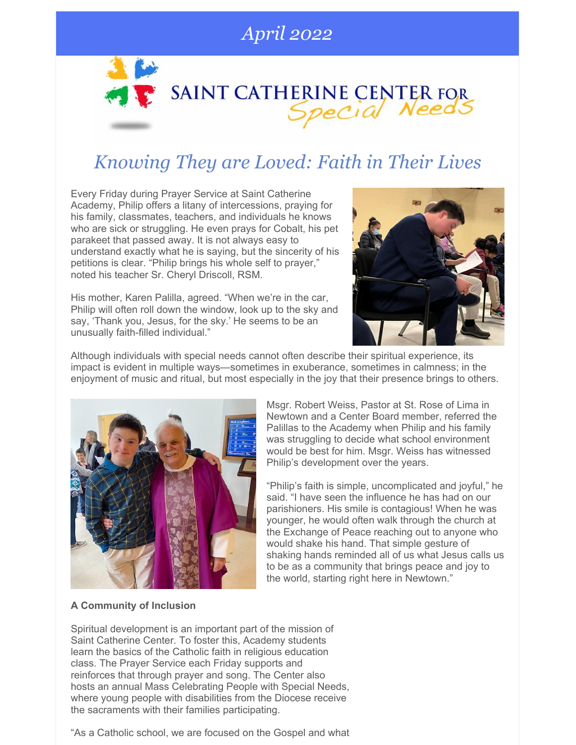### *April 2022*

# SAINT CATHERINE CENTER FOR

## *Knowing They are Loved: Faith in Their Lives*

Every Friday during Prayer Service at Saint Catherine Academy, Philip offers a litany of intercessions, praying for his family, classmates, teachers, and individuals he knows who are sick or struggling. He even prays for Cobalt, his pet parakeet that passed away. It is not always easy to understand exactly what he is saying, but the sincerity of his petitions is clear. "Philip brings his whole self to prayer," noted his teacher Sr. Cheryl Driscoll, RSM.

His mother, Karen Palilla, agreed. "When we're in the car, Philip will often roll down the window, look up to the sky and say, 'Thank you, Jesus, for the sky.' He seems to be an unusually faith-filled individual."



Although individuals with special needs cannot often describe their spiritual experience, its impact is evident in multiple ways—sometimes in exuberance, sometimes in calmness; in the enjoyment of music and ritual, but most especially in the joy that their presence brings to others.



Msgr. Robert Weiss, Pastor at St. Rose of Lima in Newtown and a Center Board member, referred the Palillas to the Academy when Philip and his family was struggling to decide what school environment would be best for him. Msgr. Weiss has witnessed Philip's development over the years.

"Philip's faith is simple, uncomplicated and joyful," he said. "I have seen the influence he has had on our parishioners. His smile is contagious! When he was younger, he would often walk through the church at the Exchange of Peace reaching out to anyone who would shake his hand. That simple gesture of shaking hands reminded all of us what Jesus calls us to be as a community that brings peace and joy to the world, starting right here in Newtown."

#### **A Community of Inclusion**

Spiritual development is an important part of the mission of Saint Catherine Center. To foster this, Academy students learn the basics of the Catholic faith in religious education class. The Prayer Service each Friday supports and reinforces that through prayer and song. The Center also hosts an annual Mass Celebrating People with Special Needs, where young people with disabilities from the Diocese receive the sacraments with their families participating.

"As a Catholic school, we are focused on the Gospel and what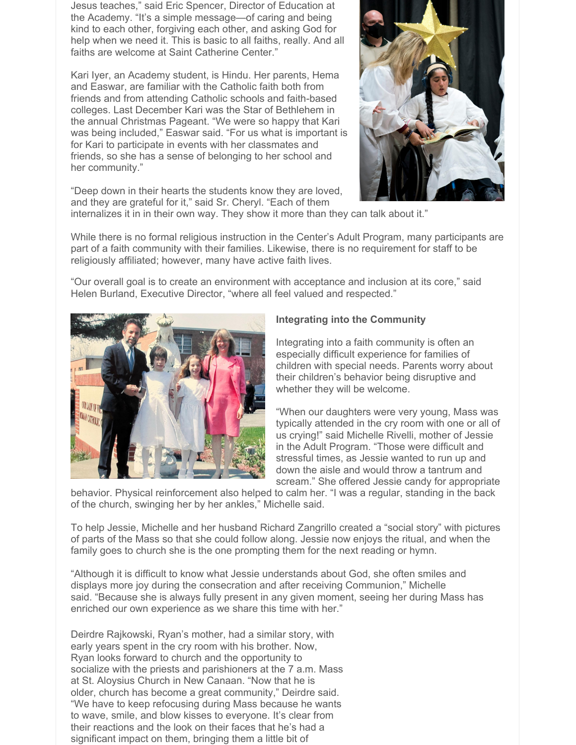Jesus teaches," said Eric Spencer, Director of Education at the Academy. "It's a simple message—of caring and being kind to each other, forgiving each other, and asking God for help when we need it. This is basic to all faiths, really. And all faiths are welcome at Saint Catherine Center."

Kari Iyer, an Academy student, is Hindu. Her parents, Hema and Easwar, are familiar with the Catholic faith both from friends and from attending Catholic schools and faith-based colleges. Last December Kari was the Star of Bethlehem in the annual Christmas Pageant. "We were so happy that Kari was being included," Easwar said. "For us what is important is for Kari to participate in events with her classmates and friends, so she has a sense of belonging to her school and her community."



"Deep down in their hearts the students know they are loved, and they are grateful for it," said Sr. Cheryl. "Each of them

internalizes it in in their own way. They show it more than they can talk about it."

While there is no formal religious instruction in the Center's Adult Program, many participants are part of a faith community with their families. Likewise, there is no requirement for staff to be religiously affiliated; however, many have active faith lives.

"Our overall goal is to create an environment with acceptance and inclusion at its core," said Helen Burland, Executive Director, "where all feel valued and respected."



#### **Integrating into the Community**

Integrating into a faith community is often an especially difficult experience for families of children with special needs. Parents worry about their children's behavior being disruptive and whether they will be welcome.

"When our daughters were very young, Mass was typically attended in the cry room with one or all of us crying!" said Michelle Rivelli, mother of Jessie in the Adult Program. "Those were difficult and stressful times, as Jessie wanted to run up and down the aisle and would throw a tantrum and scream." She offered Jessie candy for appropriate

behavior. Physical reinforcement also helped to calm her. "I was a regular, standing in the back of the church, swinging her by her ankles," Michelle said.

To help Jessie, Michelle and her husband Richard Zangrillo created a "social story" with pictures of parts of the Mass so that she could follow along. Jessie now enjoys the ritual, and when the family goes to church she is the one prompting them for the next reading or hymn.

"Although it is difficult to know what Jessie understands about God, she often smiles and displays more joy during the consecration and after receiving Communion," Michelle said. "Because she is always fully present in any given moment, seeing her during Mass has enriched our own experience as we share this time with her."

Deirdre Rajkowski, Ryan's mother, had a similar story, with early years spent in the cry room with his brother. Now, Ryan looks forward to church and the opportunity to socialize with the priests and parishioners at the 7 a.m. Mass at St. Aloysius Church in New Canaan. "Now that he is older, church has become a great community," Deirdre said. "We have to keep refocusing during Mass because he wants to wave, smile, and blow kisses to everyone. It's clear from their reactions and the look on their faces that he's had a significant impact on them, bringing them a little bit of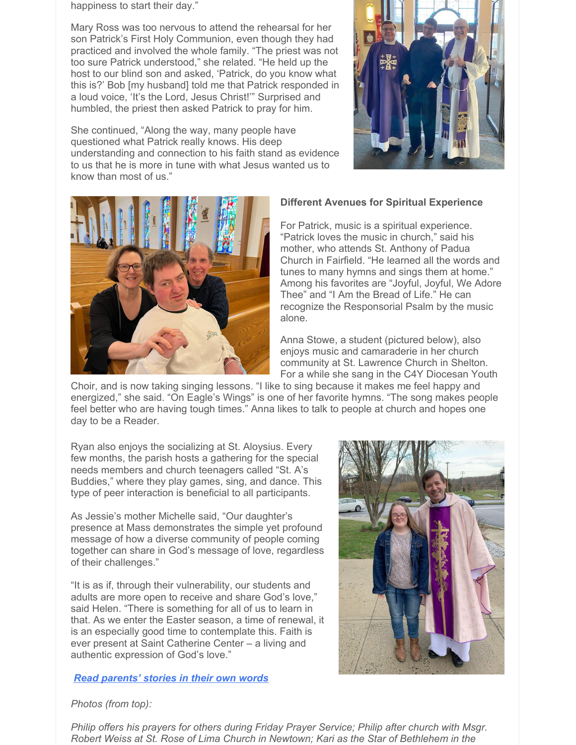happiness to start their day."

Mary Ross was too nervous to attend the rehearsal for her son Patrick's First Holy Communion, even though they had practiced and involved the whole family. "The priest was not too sure Patrick understood," she related. "He held up the host to our blind son and asked, 'Patrick, do you know what this is?' Bob [my husband] told me that Patrick responded in a loud voice, 'It's the Lord, Jesus Christ!'" Surprised and humbled, the priest then asked Patrick to pray for him.

She continued, "Along the way, many people have questioned what Patrick really knows. His deep understanding and connection to his faith stand as evidence to us that he is more in tune with what Jesus wanted us to know than most of us."





#### **Different Avenues for Spiritual Experience**

For Patrick, music is a spiritual experience. "Patrick loves the music in church," said his mother, who attends St. Anthony of Padua Church in Fairfield. "He learned all the words and tunes to many hymns and sings them at home." Among his favorites are "Joyful, Joyful, We Adore Thee" and "I Am the Bread of Life." He can recognize the Responsorial Psalm by the music alone.

Anna Stowe, a student (pictured below), also enjoys music and camaraderie in her church community at St. Lawrence Church in Shelton. For a while she sang in the C4Y Diocesan Youth

Choir, and is now taking singing lessons. "I like to sing because it makes me feel happy and energized," she said. "On Eagle's Wings" is one of her favorite hymns. "The song makes people feel better who are having tough times." Anna likes to talk to people at church and hopes one day to be a Reader.

Ryan also enjoys the socializing at St. Aloysius. Every few months, the parish hosts a gathering for the special needs members and church teenagers called "St. A's Buddies," where they play games, sing, and dance. This type of peer interaction is beneficial to all participants.

As Jessie's mother Michelle said, "Our daughter's presence at Mass demonstrates the simple yet profound message of how a diverse community of people coming together can share in God's message of love, regardless of their challenges."

"It is as if, through their vulnerability, our students and adults are more open to receive and share God's love," said Helen. "There is something for all of us to learn in that. As we enter the Easter season, a time of renewal, it is an especially good time to contemplate this. Faith is ever present at Saint Catherine Center – a living and authentic expression of God's love."

#### *Read [parents'](https://www.stcatherinecenter.org/faith-testimonials/) stories in their own words*



*Photos (from top):*

*Philip offers his prayers for others during Friday Prayer Service; Philip after church with Msgr. Robert Weiss at St. Rose of Lima Church in Newtown; Kari as the Star of Bethlehem in the*